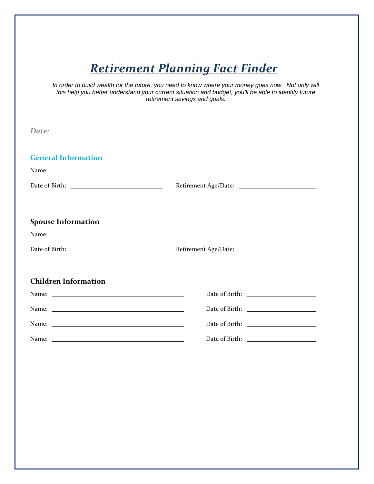# *Retirement Planning Fact Finder*

In order to build wealth for the future, you need to know where your money goes now. Not only will *this help you better understand your current situation and budget, you'll be able to identify future retirement savings and goals.* 

| <b>General Information</b><br>Name: Name: Name: Name: Name: Name: Name: Name: Name: Name: Name: Name: Name: Name: Name: Name: Name: Name: Name: Name: Name: Name: Name: Name: Name: Name: Name: Name: Name: Name: Name: Name: Name: Name: Name: Name: Name: |  |  |
|-------------------------------------------------------------------------------------------------------------------------------------------------------------------------------------------------------------------------------------------------------------|--|--|
|                                                                                                                                                                                                                                                             |  |  |
| <b>Spouse Information</b>                                                                                                                                                                                                                                   |  |  |
|                                                                                                                                                                                                                                                             |  |  |
| <b>Children Information</b>                                                                                                                                                                                                                                 |  |  |
|                                                                                                                                                                                                                                                             |  |  |
|                                                                                                                                                                                                                                                             |  |  |
|                                                                                                                                                                                                                                                             |  |  |
|                                                                                                                                                                                                                                                             |  |  |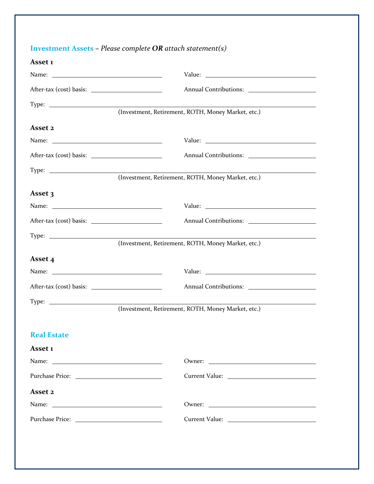| <b>Investment Assets</b> - Please complete $OR$ attach statement(s) |                                                    |
|---------------------------------------------------------------------|----------------------------------------------------|
| Asset 1                                                             |                                                    |
|                                                                     |                                                    |
|                                                                     |                                                    |
| Type: $\frac{1}{\sqrt{1-\frac{1}{2}} \cdot \frac{1}{2}}$            |                                                    |
|                                                                     | (Investment, Retirement, ROTH, Money Market, etc.) |
| Asset 2                                                             |                                                    |
|                                                                     |                                                    |
|                                                                     |                                                    |
| $Type: \_\_$                                                        |                                                    |
|                                                                     | (Investment, Retirement, ROTH, Money Market, etc.) |
| Asset 3                                                             |                                                    |
|                                                                     |                                                    |
|                                                                     |                                                    |
| Type: $\frac{1}{\sqrt{1-\frac{1}{2}} \cdot \frac{1}{2}}$            |                                                    |
|                                                                     | (Investment, Retirement, ROTH, Money Market, etc.) |
| Asset 4                                                             |                                                    |
|                                                                     |                                                    |
|                                                                     |                                                    |
| $Type: \_\_$                                                        |                                                    |
|                                                                     | (Investment, Retirement, ROTH, Money Market, etc.) |
| <b>Real Estate</b>                                                  |                                                    |
| Asset 1                                                             |                                                    |
|                                                                     |                                                    |
|                                                                     |                                                    |
| Asset 2                                                             |                                                    |
|                                                                     |                                                    |
|                                                                     |                                                    |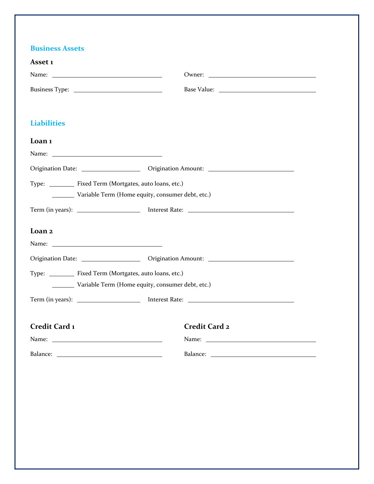### **Business Assets**

| Asset 1                                          |                                                                                                                                                                                                                               |  |
|--------------------------------------------------|-------------------------------------------------------------------------------------------------------------------------------------------------------------------------------------------------------------------------------|--|
|                                                  |                                                                                                                                                                                                                               |  |
|                                                  | Base Value:                                                                                                                                                                                                                   |  |
|                                                  |                                                                                                                                                                                                                               |  |
| <b>Liabilities</b>                               |                                                                                                                                                                                                                               |  |
| Loan <sub>1</sub>                                |                                                                                                                                                                                                                               |  |
|                                                  |                                                                                                                                                                                                                               |  |
|                                                  |                                                                                                                                                                                                                               |  |
| Type: Fixed Term (Mortgates, auto loans, etc.)   |                                                                                                                                                                                                                               |  |
| Variable Term (Home equity, consumer debt, etc.) |                                                                                                                                                                                                                               |  |
|                                                  |                                                                                                                                                                                                                               |  |
| Loan 2                                           |                                                                                                                                                                                                                               |  |
|                                                  |                                                                                                                                                                                                                               |  |
|                                                  |                                                                                                                                                                                                                               |  |
| Type: Fixed Term (Mortgates, auto loans, etc.)   |                                                                                                                                                                                                                               |  |
| Variable Term (Home equity, consumer debt, etc.) |                                                                                                                                                                                                                               |  |
|                                                  |                                                                                                                                                                                                                               |  |
|                                                  |                                                                                                                                                                                                                               |  |
| Credit Card 1                                    | Credit Card 2                                                                                                                                                                                                                 |  |
|                                                  | Name: Name: Name: Name: Name: Name: Name: Name: Name: Name: Name: Name: Name: Name: Name: Name: Name: Name: Name: Name: Name: Name: Name: Name: Name: Name: Name: Name: Name: Name: Name: Name: Name: Name: Name: Name: Name: |  |
|                                                  |                                                                                                                                                                                                                               |  |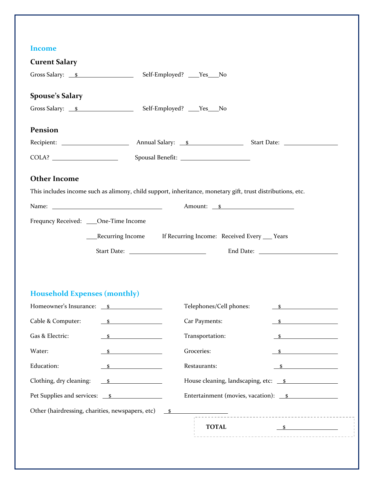#### **Income**

| mcome                                            |                                                                                                            |                         |                                                                                                                                                                                                                                |  |  |
|--------------------------------------------------|------------------------------------------------------------------------------------------------------------|-------------------------|--------------------------------------------------------------------------------------------------------------------------------------------------------------------------------------------------------------------------------|--|--|
| <b>Curent Salary</b>                             |                                                                                                            |                         |                                                                                                                                                                                                                                |  |  |
|                                                  | Gross Salary: <u>\$</u> Self-Employed? ___Yes___No                                                         |                         |                                                                                                                                                                                                                                |  |  |
| <b>Spouse's Salary</b>                           |                                                                                                            |                         |                                                                                                                                                                                                                                |  |  |
|                                                  | Gross Salary: <u>\$</u> Self-Employed? ___Yes___No                                                         |                         |                                                                                                                                                                                                                                |  |  |
| Pension                                          |                                                                                                            |                         |                                                                                                                                                                                                                                |  |  |
|                                                  |                                                                                                            |                         |                                                                                                                                                                                                                                |  |  |
|                                                  |                                                                                                            |                         |                                                                                                                                                                                                                                |  |  |
| <b>Other Income</b>                              |                                                                                                            |                         |                                                                                                                                                                                                                                |  |  |
|                                                  | This includes income such as alimony, child support, inheritance, monetary gift, trust distributions, etc. |                         |                                                                                                                                                                                                                                |  |  |
|                                                  |                                                                                                            |                         |                                                                                                                                                                                                                                |  |  |
| Frequncy Received: ____One-Time Income           |                                                                                                            |                         |                                                                                                                                                                                                                                |  |  |
|                                                  | ___Recurring Income If Recurring Income: Received Every ___ Years                                          |                         |                                                                                                                                                                                                                                |  |  |
|                                                  |                                                                                                            |                         | End Date: National Property of the Second Second Second Second Second Second Second Second Second Second Second Second Second Second Second Second Second Second Second Second Second Second Second Second Second Second Secon |  |  |
|                                                  |                                                                                                            |                         |                                                                                                                                                                                                                                |  |  |
|                                                  |                                                                                                            |                         |                                                                                                                                                                                                                                |  |  |
|                                                  |                                                                                                            |                         |                                                                                                                                                                                                                                |  |  |
| <b>Household Expenses (monthly)</b>              |                                                                                                            |                         |                                                                                                                                                                                                                                |  |  |
| Homeowner's Insurance: <u>\$</u>                 |                                                                                                            | Telephones/Cell phones: | $\frac{\text{S}}{\text{S}}$                                                                                                                                                                                                    |  |  |
| Cable & Computer: 5                              |                                                                                                            | Car Payments:           | $\sim$                                                                                                                                                                                                                         |  |  |
| Gas & Electric:                                  | Transportation:<br>$\mathbf{s}$                                                                            |                         | - S                                                                                                                                                                                                                            |  |  |
| Water:                                           | Groceries:<br>$\sim$ $\sim$                                                                                |                         | $\sim$                                                                                                                                                                                                                         |  |  |
| Education:                                       |                                                                                                            | Restaurants:            |                                                                                                                                                                                                                                |  |  |
| Clothing, dry cleaning:                          | $\sim$                                                                                                     |                         | House cleaning, landscaping, etc: <u>\$</u>                                                                                                                                                                                    |  |  |
|                                                  |                                                                                                            |                         | Entertainment (movies, vacation): <u>\$</u>                                                                                                                                                                                    |  |  |
| Other (hairdressing, charities, newspapers, etc) | $\mathbf{s}$                                                                                               |                         |                                                                                                                                                                                                                                |  |  |
|                                                  |                                                                                                            | <b>TOTAL</b>            | $\sim$                                                                                                                                                                                                                         |  |  |
|                                                  |                                                                                                            |                         |                                                                                                                                                                                                                                |  |  |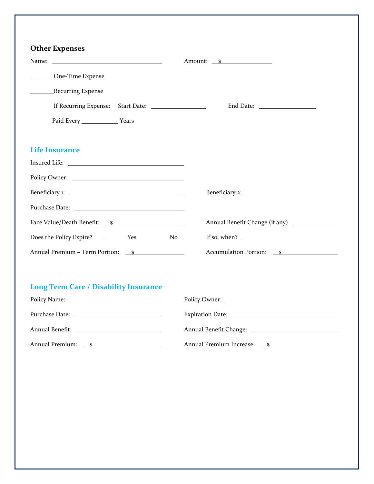| <b>Other Expenses</b>                        |                                    |
|----------------------------------------------|------------------------------------|
|                                              | Amount: <u>\$</u>                  |
| One-Time Expense                             |                                    |
| <b>EXPRESSION</b> Recurring Expense          |                                    |
|                                              |                                    |
| Paid Every ____________________ Years        |                                    |
| <b>Life Insurance</b>                        |                                    |
|                                              |                                    |
|                                              |                                    |
| Beneficiary 1:                               |                                    |
|                                              |                                    |
|                                              |                                    |
|                                              | If so, when? $\qquad \qquad$       |
| Annual Premium - Term Portion: \$            | Accumulation Portion: <u>\$</u>    |
| <b>Long Term Care / Disability Insurance</b> |                                    |
|                                              |                                    |
|                                              |                                    |
|                                              |                                    |
| Annual Premium: s                            | Annual Premium Increase: <u>\$</u> |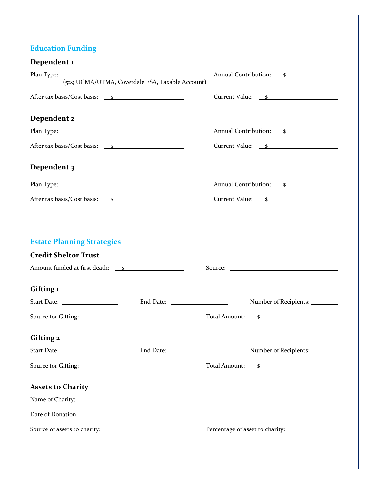## **Education Funding**

| Dependent 1                                                                                                         |                                        |
|---------------------------------------------------------------------------------------------------------------------|----------------------------------------|
| Plan Type:                                                                                                          | Annual Contribution: <i>\Simures S</i> |
| (529 UGMA/UTMA, Coverdale ESA, Taxable Account)                                                                     |                                        |
| After tax basis/Cost basis: <u>\$</u>                                                                               | Current Value: <u>\$</u>               |
| Dependent 2                                                                                                         |                                        |
|                                                                                                                     | Annual Contribution: s                 |
| After tax basis/Cost basis: <u>\$</u>                                                                               | Current Value: <u>\$</u>               |
| Dependent 3                                                                                                         |                                        |
|                                                                                                                     | Annual Contribution: s                 |
| After tax basis/Cost basis: <u>\$</u>                                                                               | Current Value: <u>\$</u>               |
| <b>Estate Planning Strategies</b><br><b>Credit Sheltor Trust</b><br>Amount funded at first death:<br>s<br>Gifting 1 |                                        |
|                                                                                                                     | Number of Recipients:                  |
|                                                                                                                     | Total Amount: <u>s</u>                 |
| Gifting 2                                                                                                           |                                        |
|                                                                                                                     | Number of Recipients:                  |
|                                                                                                                     | Total Amount: <u>\$</u>                |
| <b>Assets to Charity</b>                                                                                            |                                        |
| Name of Charity: Name of Charity:                                                                                   |                                        |
|                                                                                                                     |                                        |
|                                                                                                                     |                                        |